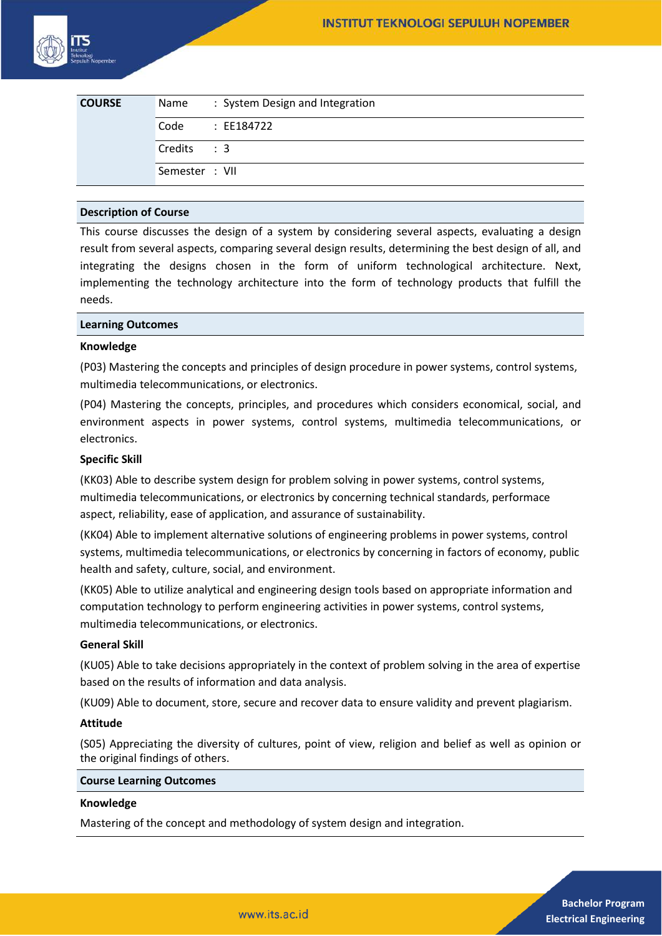| <b>COURSE</b> | Name           | : System Design and Integration |
|---------------|----------------|---------------------------------|
|               | Code           | : EE184722                      |
|               | Credits: 3     |                                 |
|               | Semester : VII |                                 |

# **Description of Course**

This course discusses the design of a system by considering several aspects, evaluating a design result from several aspects, comparing several design results, determining the best design of all, and integrating the designs chosen in the form of uniform technological architecture. Next, implementing the technology architecture into the form of technology products that fulfill the needs.

## **Learning Outcomes**

## **Knowledge**

(P03) Mastering the concepts and principles of design procedure in power systems, control systems, multimedia telecommunications, or electronics.

(P04) Mastering the concepts, principles, and procedures which considers economical, social, and environment aspects in power systems, control systems, multimedia telecommunications, or electronics.

## **Specific Skill**

(KK03) Able to describe system design for problem solving in power systems, control systems, multimedia telecommunications, or electronics by concerning technical standards, performace aspect, reliability, ease of application, and assurance of sustainability.

(KK04) Able to implement alternative solutions of engineering problems in power systems, control systems, multimedia telecommunications, or electronics by concerning in factors of economy, public health and safety, culture, social, and environment.

(KK05) Able to utilize analytical and engineering design tools based on appropriate information and computation technology to perform engineering activities in power systems, control systems, multimedia telecommunications, or electronics.

#### **General Skill**

(KU05) Able to take decisions appropriately in the context of problem solving in the area of expertise based on the results of information and data analysis.

(KU09) Able to document, store, secure and recover data to ensure validity and prevent plagiarism.

#### **Attitude**

(S05) Appreciating the diversity of cultures, point of view, religion and belief as well as opinion or the original findings of others.

#### **Course Learning Outcomes**

#### **Knowledge**

Mastering of the concept and methodology of system design and integration.